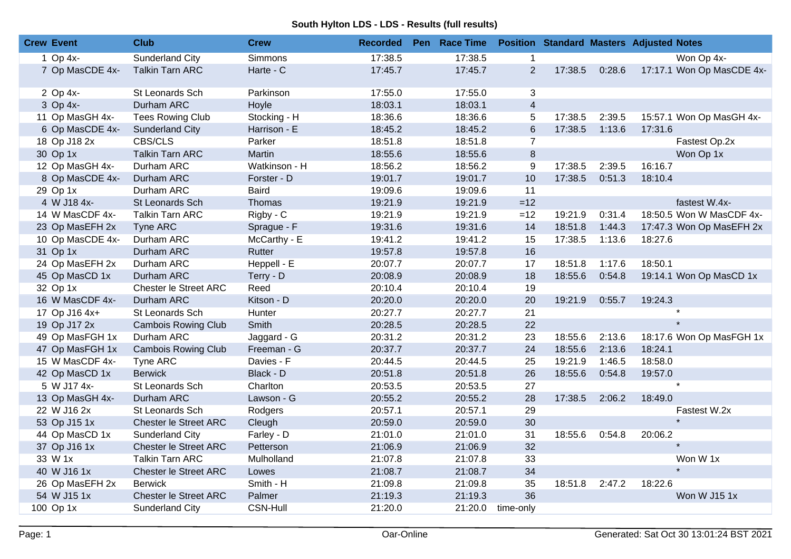## **South Hylton LDS - LDS - Results (full results)**

| <b>Crew Event</b> | <b>Club</b>                  | <b>Crew</b>     | <b>Recorded</b> | Pen Race Time |                |         |        | <b>Position Standard Masters Adjusted Notes</b> |
|-------------------|------------------------------|-----------------|-----------------|---------------|----------------|---------|--------|-------------------------------------------------|
| 1 Op 4x-          | Sunderland City              | Simmons         | 17:38.5         | 17:38.5       | 1              |         |        | Won Op 4x-                                      |
| 7 Op MasCDE 4x-   | <b>Talkin Tarn ARC</b>       | Harte - C       | 17:45.7         | 17:45.7       | $\overline{2}$ | 17:38.5 | 0:28.6 | 17:17.1 Won Op MasCDE 4x-                       |
| 2 Op 4x-          | St Leonards Sch              | Parkinson       | 17:55.0         | 17:55.0       | 3              |         |        |                                                 |
| 3 Op 4x-          | Durham ARC                   | Hoyle           | 18:03.1         | 18:03.1       | $\overline{4}$ |         |        |                                                 |
| 11 Op MasGH 4x-   | <b>Tees Rowing Club</b>      | Stocking - H    | 18:36.6         | 18:36.6       | 5              | 17:38.5 | 2:39.5 | 15:57.1 Won Op MasGH 4x-                        |
| 6 Op MasCDE 4x-   | <b>Sunderland City</b>       | Harrison - E    | 18:45.2         | 18:45.2       | $\,6$          | 17:38.5 | 1:13.6 | 17:31.6                                         |
| 18 Op J18 2x      | CBS/CLS                      | Parker          | 18:51.8         | 18:51.8       | $\overline{7}$ |         |        | Fastest Op.2x                                   |
| 30 Op 1x          | <b>Talkin Tarn ARC</b>       | Martin          | 18:55.6         | 18:55.6       | $\,8\,$        |         |        | Won Op 1x                                       |
| 12 Op MasGH 4x-   | Durham ARC                   | Watkinson - H   | 18:56.2         | 18:56.2       | 9              | 17:38.5 | 2:39.5 | 16:16.7                                         |
| 8 Op MasCDE 4x-   | Durham ARC                   | Forster - D     | 19:01.7         | 19:01.7       | 10             | 17:38.5 | 0:51.3 | 18:10.4                                         |
| 29 Op 1x          | Durham ARC                   | <b>Baird</b>    | 19:09.6         | 19:09.6       | 11             |         |        |                                                 |
| 4 W J18 4x-       | St Leonards Sch              | Thomas          | 19:21.9         | 19:21.9       | $=12$          |         |        | fastest W.4x-                                   |
| 14 W MasCDF 4x-   | <b>Talkin Tarn ARC</b>       | Rigby - C       | 19:21.9         | 19:21.9       | $=12$          | 19:21.9 | 0:31.4 | 18:50.5 Won W MasCDF 4x-                        |
| 23 Op MasEFH 2x   | Tyne ARC                     | Sprague - F     | 19:31.6         | 19:31.6       | 14             | 18:51.8 | 1:44.3 | 17:47.3 Won Op MasEFH 2x                        |
| 10 Op MasCDE 4x-  | Durham ARC                   | McCarthy - E    | 19:41.2         | 19:41.2       | 15             | 17:38.5 | 1:13.6 | 18:27.6                                         |
| 31 Op 1x          | Durham ARC                   | Rutter          | 19:57.8         | 19:57.8       | 16             |         |        |                                                 |
| 24 Op MasEFH 2x   | Durham ARC                   | Heppell - E     | 20:07.7         | 20:07.7       | 17             | 18:51.8 | 1:17.6 | 18:50.1                                         |
| 45 Op MasCD 1x    | Durham ARC                   | Terry - D       | 20:08.9         | 20:08.9       | 18             | 18:55.6 | 0:54.8 | 19:14.1 Won Op MasCD 1x                         |
| 32 Op 1x          | Chester le Street ARC        | Reed            | 20:10.4         | 20:10.4       | 19             |         |        |                                                 |
| 16 W MasCDF 4x-   | Durham ARC                   | Kitson - D      | 20:20.0         | 20:20.0       | 20             | 19:21.9 | 0:55.7 | 19:24.3                                         |
| 17 Op J16 4x+     | St Leonards Sch              | Hunter          | 20:27.7         | 20:27.7       | 21             |         |        | $\star$                                         |
| 19 Op J17 2x      | <b>Cambois Rowing Club</b>   | Smith           | 20:28.5         | 20:28.5       | 22             |         |        |                                                 |
| 49 Op MasFGH 1x   | Durham ARC                   | Jaggard - G     | 20:31.2         | 20:31.2       | 23             | 18:55.6 | 2:13.6 | 18:17.6 Won Op MasFGH 1x                        |
| 47 Op MasFGH 1x   | <b>Cambois Rowing Club</b>   | Freeman - G     | 20:37.7         | 20:37.7       | 24             | 18:55.6 | 2:13.6 | 18:24.1                                         |
| 15 W MasCDF 4x-   | Tyne ARC                     | Davies - F      | 20:44.5         | 20:44.5       | 25             | 19:21.9 | 1:46.5 | 18:58.0                                         |
| 42 Op MasCD 1x    | <b>Berwick</b>               | Black - D       | 20:51.8         | 20:51.8       | 26             | 18:55.6 | 0:54.8 | 19:57.0                                         |
| 5 W J17 4x-       | St Leonards Sch              | Charlton        | 20:53.5         | 20:53.5       | 27             |         |        | $\star$                                         |
| 13 Op MasGH 4x-   | Durham ARC                   | Lawson - G      | 20:55.2         | 20:55.2       | 28             | 17:38.5 | 2:06.2 | 18:49.0                                         |
| 22 W J16 2x       | St Leonards Sch              | Rodgers         | 20:57.1         | 20:57.1       | 29             |         |        | Fastest W.2x                                    |
| 53 Op J15 1x      | <b>Chester le Street ARC</b> | Cleugh          | 20:59.0         | 20:59.0       | 30             |         |        |                                                 |
| 44 Op MasCD 1x    | Sunderland City              | Farley - D      | 21:01.0         | 21:01.0       | 31             | 18:55.6 | 0:54.8 | 20:06.2                                         |
| 37 Op J16 1x      | Chester le Street ARC        | Petterson       | 21:06.9         | 21:06.9       | 32             |         |        |                                                 |
| 33 W 1x           | <b>Talkin Tarn ARC</b>       | Mulholland      | 21:07.8         | 21:07.8       | 33             |         |        | Won W 1x                                        |
| 40 W J16 1x       | Chester le Street ARC        | Lowes           | 21:08.7         | 21:08.7       | 34             |         |        |                                                 |
| 26 Op MasEFH 2x   | <b>Berwick</b>               | Smith - H       | 21:09.8         | 21:09.8       | 35             | 18:51.8 | 2:47.2 | 18:22.6                                         |
| 54 W J15 1x       | Chester le Street ARC        | Palmer          | 21:19.3         | 21:19.3       | 36             |         |        | Won W J15 1x                                    |
| 100 Op 1x         | Sunderland City              | <b>CSN-Hull</b> | 21:20.0         | 21:20.0       | time-only      |         |        |                                                 |